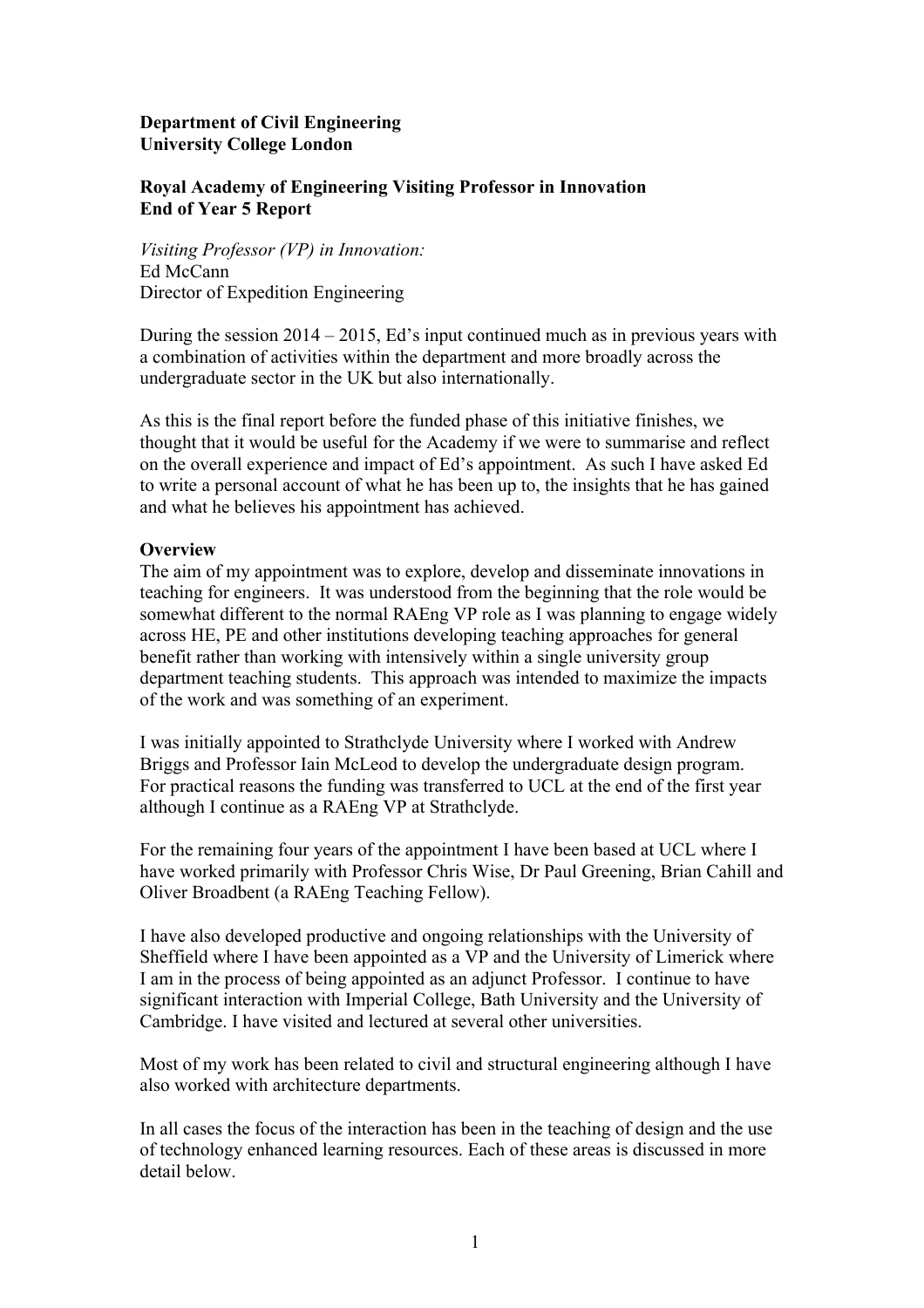# **Department of Civil Engineering University College London**

# **Royal Academy of Engineering Visiting Professor in Innovation End of Year 5 Report**

*Visiting Professor (VP) in Innovation:* Ed McCann Director of Expedition Engineering

During the session  $2014 - 2015$ , Ed's input continued much as in previous years with a combination of activities within the department and more broadly across the undergraduate sector in the UK but also internationally.

As this is the final report before the funded phase of this initiative finishes, we thought that it would be useful for the Academy if we were to summarise and reflect on the overall experience and impact of Ed's appointment. As such I have asked Ed to write a personal account of what he has been up to, the insights that he has gained and what he believes his appointment has achieved.

# **Overview**

The aim of my appointment was to explore, develop and disseminate innovations in teaching for engineers. It was understood from the beginning that the role would be somewhat different to the normal RAEng VP role as I was planning to engage widely across HE, PE and other institutions developing teaching approaches for general benefit rather than working with intensively within a single university group department teaching students. This approach was intended to maximize the impacts of the work and was something of an experiment.

I was initially appointed to Strathclyde University where I worked with Andrew Briggs and Professor Iain McLeod to develop the undergraduate design program. For practical reasons the funding was transferred to UCL at the end of the first year although I continue as a RAEng VP at Strathclyde.

For the remaining four years of the appointment I have been based at UCL where I have worked primarily with Professor Chris Wise, Dr Paul Greening, Brian Cahill and Oliver Broadbent (a RAEng Teaching Fellow).

I have also developed productive and ongoing relationships with the University of Sheffield where I have been appointed as a VP and the University of Limerick where I am in the process of being appointed as an adjunct Professor. I continue to have significant interaction with Imperial College, Bath University and the University of Cambridge. I have visited and lectured at several other universities.

Most of my work has been related to civil and structural engineering although I have also worked with architecture departments.

In all cases the focus of the interaction has been in the teaching of design and the use of technology enhanced learning resources. Each of these areas is discussed in more detail below.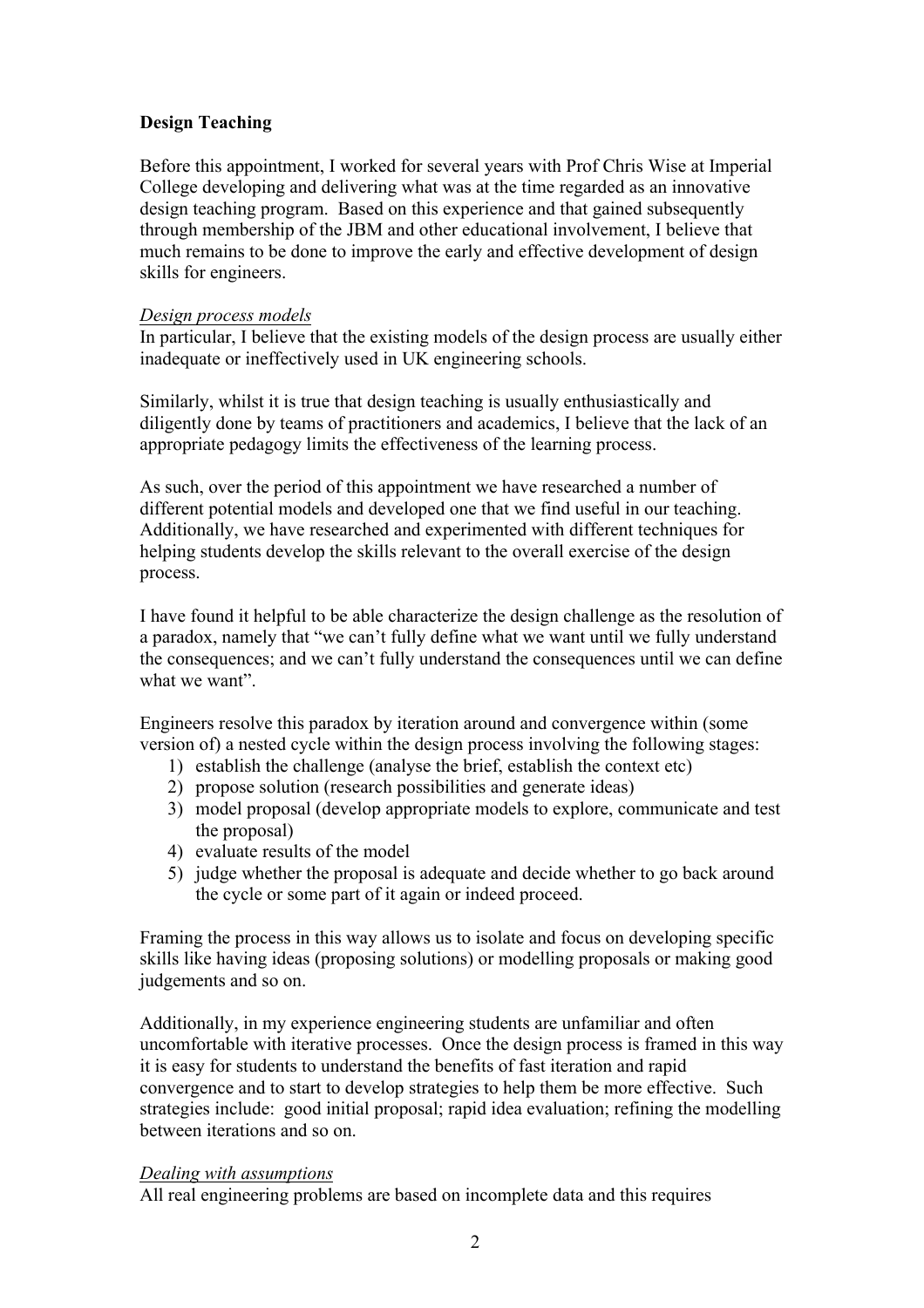# **Design Teaching**

Before this appointment, I worked for several years with Prof Chris Wise at Imperial College developing and delivering what was at the time regarded as an innovative design teaching program. Based on this experience and that gained subsequently through membership of the JBM and other educational involvement, I believe that much remains to be done to improve the early and effective development of design skills for engineers.

# *Design process models*

In particular, I believe that the existing models of the design process are usually either inadequate or ineffectively used in UK engineering schools.

Similarly, whilst it is true that design teaching is usually enthusiastically and diligently done by teams of practitioners and academics, I believe that the lack of an appropriate pedagogy limits the effectiveness of the learning process.

As such, over the period of this appointment we have researched a number of different potential models and developed one that we find useful in our teaching. Additionally, we have researched and experimented with different techniques for helping students develop the skills relevant to the overall exercise of the design process.

I have found it helpful to be able characterize the design challenge as the resolution of a paradox, namely that "we can't fully define what we want until we fully understand the consequences; and we can't fully understand the consequences until we can define what we want".

Engineers resolve this paradox by iteration around and convergence within (some version of) a nested cycle within the design process involving the following stages:

- 1) establish the challenge (analyse the brief, establish the context etc)
- 2) propose solution (research possibilities and generate ideas)
- 3) model proposal (develop appropriate models to explore, communicate and test the proposal)
- 4) evaluate results of the model
- 5) judge whether the proposal is adequate and decide whether to go back around the cycle or some part of it again or indeed proceed.

Framing the process in this way allows us to isolate and focus on developing specific skills like having ideas (proposing solutions) or modelling proposals or making good judgements and so on.

Additionally, in my experience engineering students are unfamiliar and often uncomfortable with iterative processes. Once the design process is framed in this way it is easy for students to understand the benefits of fast iteration and rapid convergence and to start to develop strategies to help them be more effective. Such strategies include: good initial proposal; rapid idea evaluation; refining the modelling between iterations and so on.

# *Dealing with assumptions*

All real engineering problems are based on incomplete data and this requires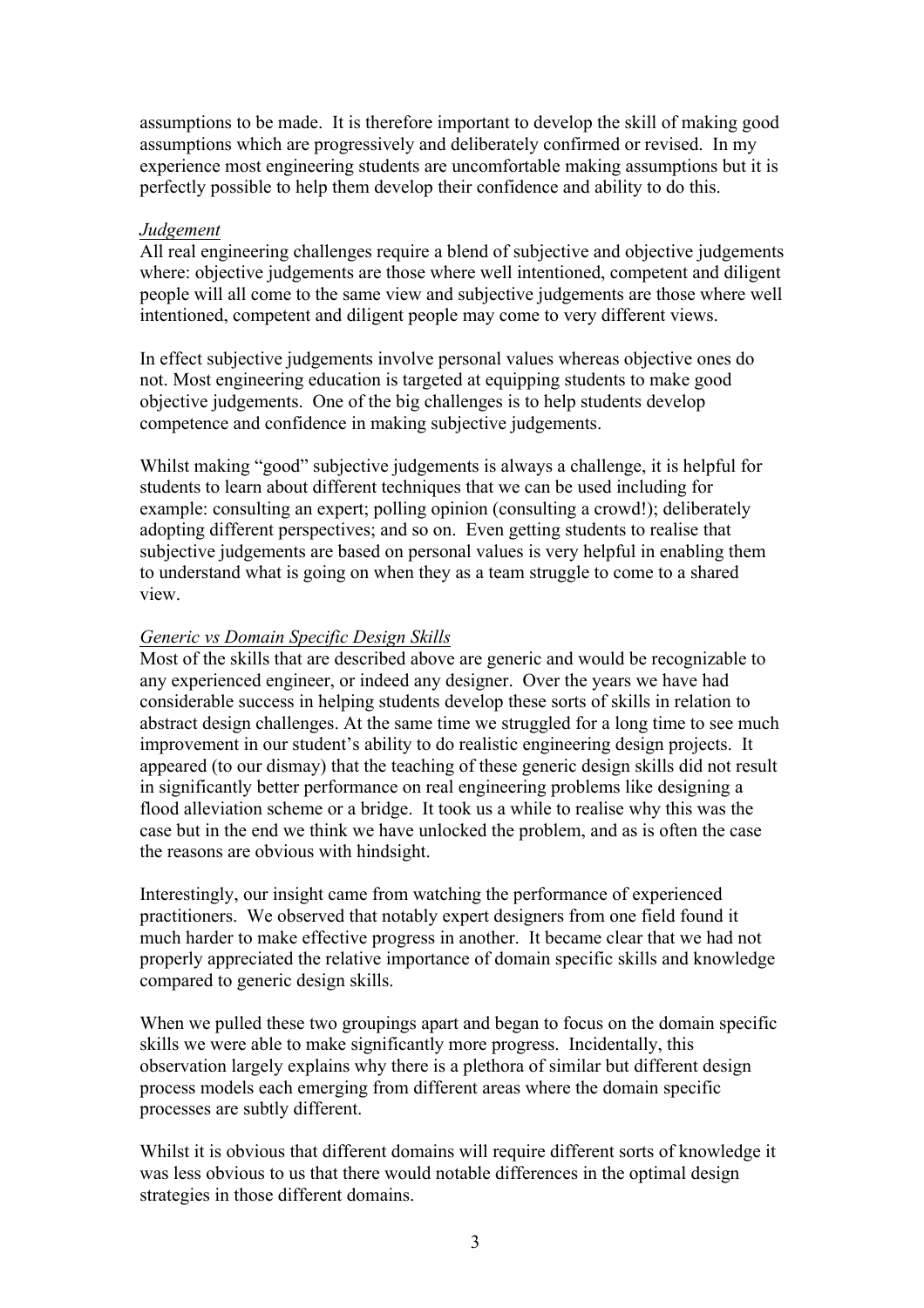assumptions to be made. It is therefore important to develop the skill of making good assumptions which are progressively and deliberately confirmed or revised. In my experience most engineering students are uncomfortable making assumptions but it is perfectly possible to help them develop their confidence and ability to do this.

#### *Judgement*

All real engineering challenges require a blend of subjective and objective judgements where: objective judgements are those where well intentioned, competent and diligent people will all come to the same view and subjective judgements are those where well intentioned, competent and diligent people may come to very different views.

In effect subjective judgements involve personal values whereas objective ones do not. Most engineering education is targeted at equipping students to make good objective judgements. One of the big challenges is to help students develop competence and confidence in making subjective judgements.

Whilst making "good" subjective judgements is always a challenge, it is helpful for students to learn about different techniques that we can be used including for example: consulting an expert; polling opinion (consulting a crowd!); deliberately adopting different perspectives; and so on. Even getting students to realise that subjective judgements are based on personal values is very helpful in enabling them to understand what is going on when they as a team struggle to come to a shared view.

#### *Generic vs Domain Specific Design Skills*

Most of the skills that are described above are generic and would be recognizable to any experienced engineer, or indeed any designer. Over the years we have had considerable success in helping students develop these sorts of skills in relation to abstract design challenges. At the same time we struggled for a long time to see much improvement in our student's ability to do realistic engineering design projects. It appeared (to our dismay) that the teaching of these generic design skills did not result in significantly better performance on real engineering problems like designing a flood alleviation scheme or a bridge. It took us a while to realise why this was the case but in the end we think we have unlocked the problem, and as is often the case the reasons are obvious with hindsight.

Interestingly, our insight came from watching the performance of experienced practitioners. We observed that notably expert designers from one field found it much harder to make effective progress in another. It became clear that we had not properly appreciated the relative importance of domain specific skills and knowledge compared to generic design skills.

When we pulled these two groupings apart and began to focus on the domain specific skills we were able to make significantly more progress. Incidentally, this observation largely explains why there is a plethora of similar but different design process models each emerging from different areas where the domain specific processes are subtly different.

Whilst it is obvious that different domains will require different sorts of knowledge it was less obvious to us that there would notable differences in the optimal design strategies in those different domains.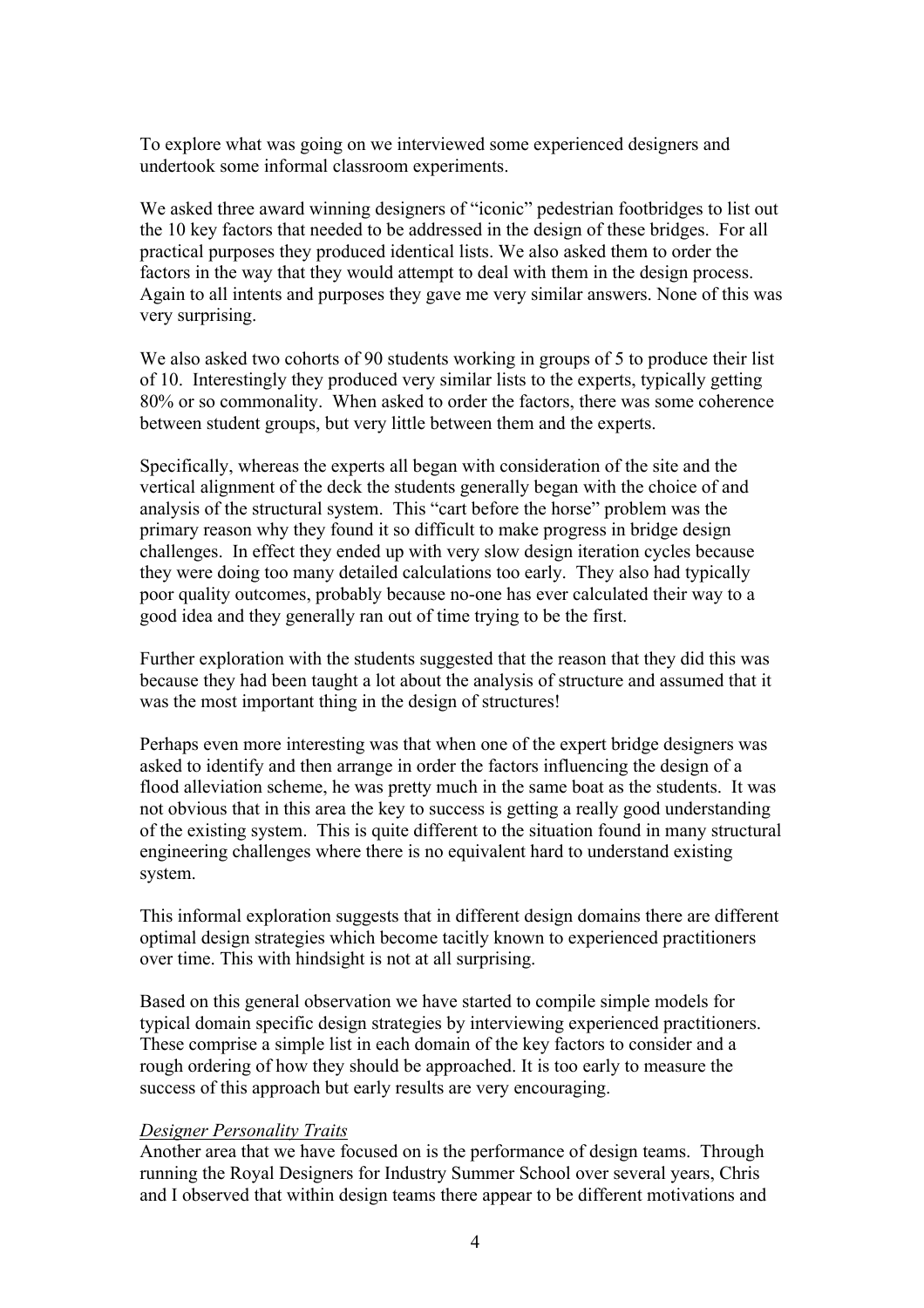To explore what was going on we interviewed some experienced designers and undertook some informal classroom experiments.

We asked three award winning designers of "iconic" pedestrian footbridges to list out the 10 key factors that needed to be addressed in the design of these bridges. For all practical purposes they produced identical lists. We also asked them to order the factors in the way that they would attempt to deal with them in the design process. Again to all intents and purposes they gave me very similar answers. None of this was very surprising.

We also asked two cohorts of 90 students working in groups of 5 to produce their list of 10. Interestingly they produced very similar lists to the experts, typically getting 80% or so commonality. When asked to order the factors, there was some coherence between student groups, but very little between them and the experts.

Specifically, whereas the experts all began with consideration of the site and the vertical alignment of the deck the students generally began with the choice of and analysis of the structural system. This "cart before the horse" problem was the primary reason why they found it so difficult to make progress in bridge design challenges. In effect they ended up with very slow design iteration cycles because they were doing too many detailed calculations too early. They also had typically poor quality outcomes, probably because no-one has ever calculated their way to a good idea and they generally ran out of time trying to be the first.

Further exploration with the students suggested that the reason that they did this was because they had been taught a lot about the analysis of structure and assumed that it was the most important thing in the design of structures!

Perhaps even more interesting was that when one of the expert bridge designers was asked to identify and then arrange in order the factors influencing the design of a flood alleviation scheme, he was pretty much in the same boat as the students. It was not obvious that in this area the key to success is getting a really good understanding of the existing system. This is quite different to the situation found in many structural engineering challenges where there is no equivalent hard to understand existing system.

This informal exploration suggests that in different design domains there are different optimal design strategies which become tacitly known to experienced practitioners over time. This with hindsight is not at all surprising.

Based on this general observation we have started to compile simple models for typical domain specific design strategies by interviewing experienced practitioners. These comprise a simple list in each domain of the key factors to consider and a rough ordering of how they should be approached. It is too early to measure the success of this approach but early results are very encouraging.

#### *Designer Personality Traits*

Another area that we have focused on is the performance of design teams. Through running the Royal Designers for Industry Summer School over several years, Chris and I observed that within design teams there appear to be different motivations and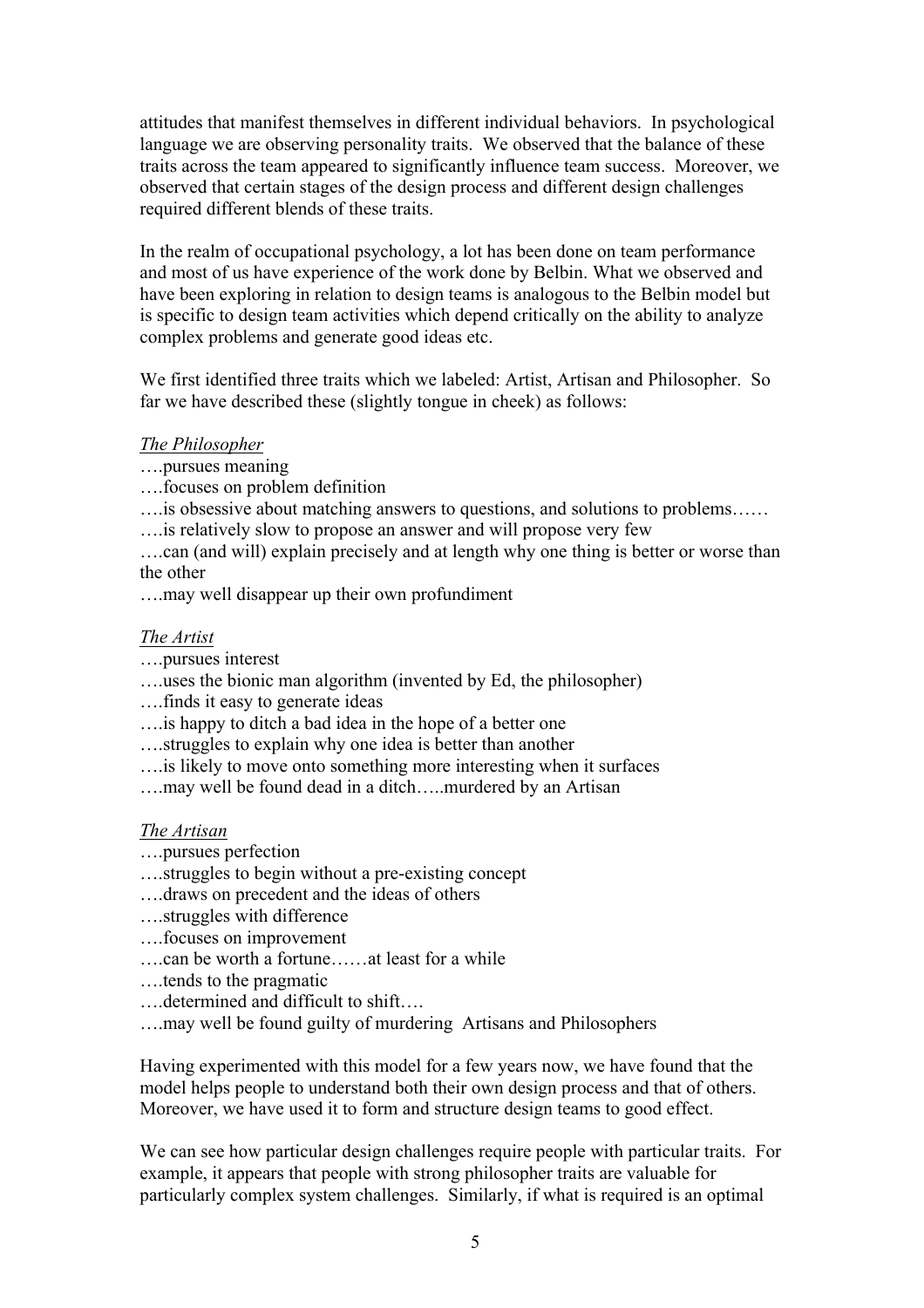attitudes that manifest themselves in different individual behaviors. In psychological language we are observing personality traits. We observed that the balance of these traits across the team appeared to significantly influence team success. Moreover, we observed that certain stages of the design process and different design challenges required different blends of these traits.

In the realm of occupational psychology, a lot has been done on team performance and most of us have experience of the work done by Belbin. What we observed and have been exploring in relation to design teams is analogous to the Belbin model but is specific to design team activities which depend critically on the ability to analyze complex problems and generate good ideas etc.

We first identified three traits which we labeled: Artist, Artisan and Philosopher. So far we have described these (slightly tongue in cheek) as follows:

# *The Philosopher*

- ….pursues meaning
- ….focuses on problem definition
- ….is obsessive about matching answers to questions, and solutions to problems……
- ….is relatively slow to propose an answer and will propose very few

….can (and will) explain precisely and at length why one thing is better or worse than the other

….may well disappear up their own profundiment

# *The Artist*

- ….pursues interest
- ….uses the bionic man algorithm (invented by Ed, the philosopher)
- ….finds it easy to generate ideas
- ….is happy to ditch a bad idea in the hope of a better one
- ….struggles to explain why one idea is better than another
- ….is likely to move onto something more interesting when it surfaces
- ….may well be found dead in a ditch…..murdered by an Artisan

#### *The Artisan*

- ….pursues perfection
- ….struggles to begin without a pre-existing concept
- ….draws on precedent and the ideas of others
- ….struggles with difference
- ….focuses on improvement
- ….can be worth a fortune……at least for a while
- ….tends to the pragmatic
- ….determined and difficult to shift….
- ….may well be found guilty of murdering Artisans and Philosophers

Having experimented with this model for a few years now, we have found that the model helps people to understand both their own design process and that of others. Moreover, we have used it to form and structure design teams to good effect.

We can see how particular design challenges require people with particular traits. For example, it appears that people with strong philosopher traits are valuable for particularly complex system challenges. Similarly, if what is required is an optimal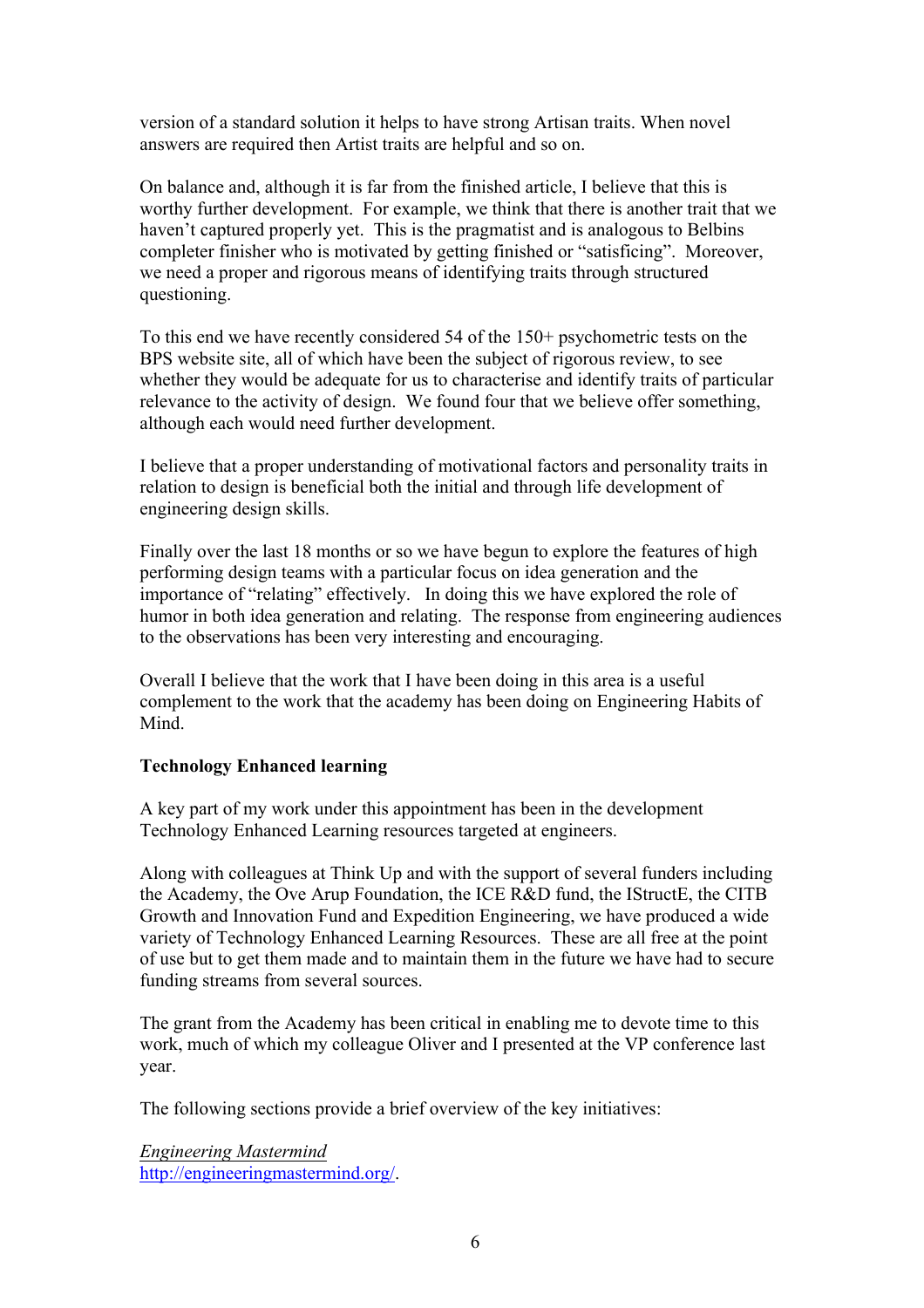version of a standard solution it helps to have strong Artisan traits. When novel answers are required then Artist traits are helpful and so on.

On balance and, although it is far from the finished article, I believe that this is worthy further development. For example, we think that there is another trait that we haven't captured properly yet. This is the pragmatist and is analogous to Belbins completer finisher who is motivated by getting finished or "satisficing". Moreover, we need a proper and rigorous means of identifying traits through structured questioning.

To this end we have recently considered 54 of the 150+ psychometric tests on the BPS website site, all of which have been the subject of rigorous review, to see whether they would be adequate for us to characterise and identify traits of particular relevance to the activity of design. We found four that we believe offer something, although each would need further development.

I believe that a proper understanding of motivational factors and personality traits in relation to design is beneficial both the initial and through life development of engineering design skills.

Finally over the last 18 months or so we have begun to explore the features of high performing design teams with a particular focus on idea generation and the importance of "relating" effectively. In doing this we have explored the role of humor in both idea generation and relating. The response from engineering audiences to the observations has been very interesting and encouraging.

Overall I believe that the work that I have been doing in this area is a useful complement to the work that the academy has been doing on Engineering Habits of Mind.

#### **Technology Enhanced learning**

A key part of my work under this appointment has been in the development Technology Enhanced Learning resources targeted at engineers.

Along with colleagues at Think Up and with the support of several funders including the Academy, the Ove Arup Foundation, the ICE R&D fund, the IStructE, the CITB Growth and Innovation Fund and Expedition Engineering, we have produced a wide variety of Technology Enhanced Learning Resources. These are all free at the point of use but to get them made and to maintain them in the future we have had to secure funding streams from several sources.

The grant from the Academy has been critical in enabling me to devote time to this work, much of which my colleague Oliver and I presented at the VP conference last year.

The following sections provide a brief overview of the key initiatives:

*Engineering Mastermind*  http://engineeringmastermind.org/.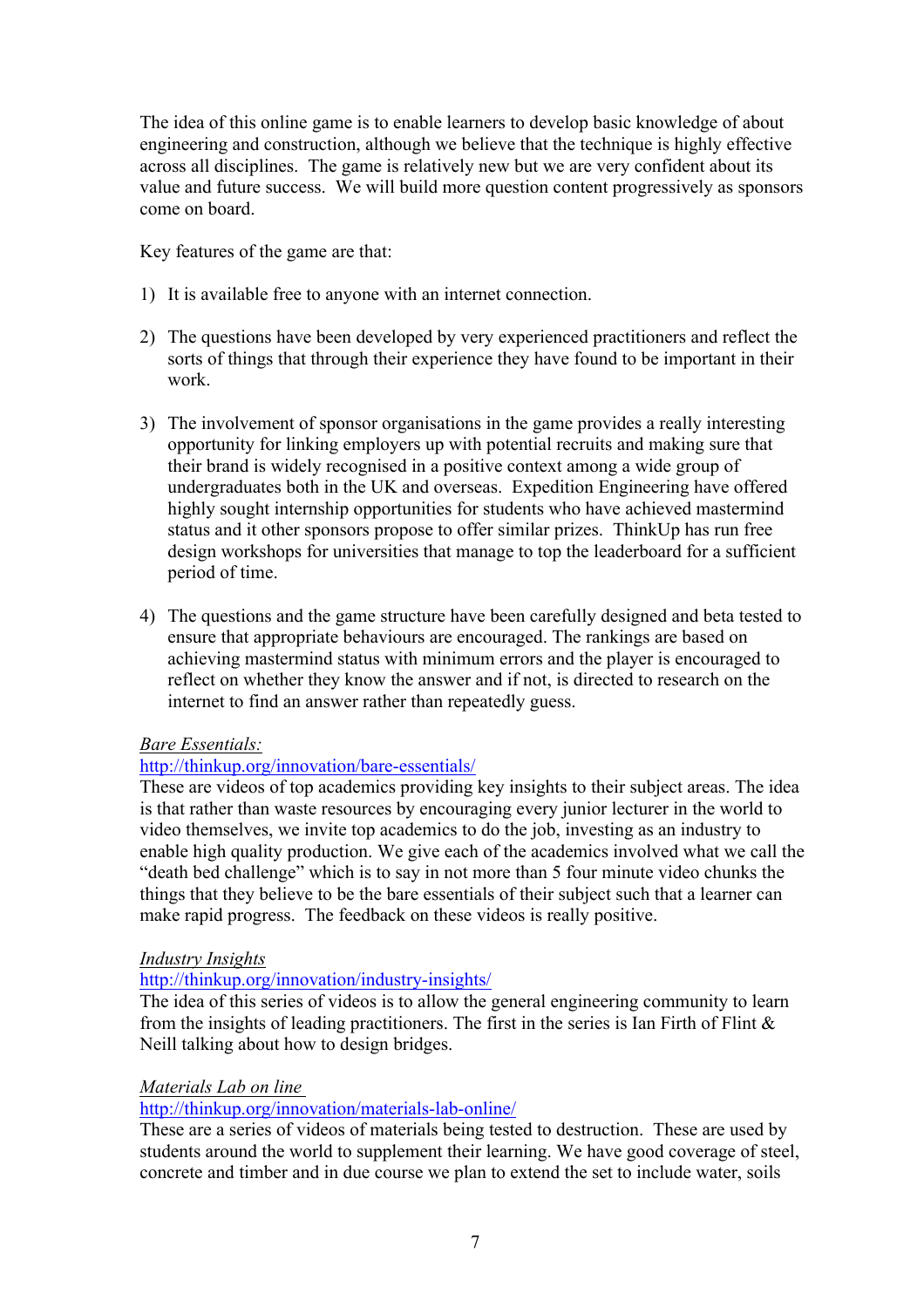The idea of this online game is to enable learners to develop basic knowledge of about engineering and construction, although we believe that the technique is highly effective across all disciplines. The game is relatively new but we are very confident about its value and future success. We will build more question content progressively as sponsors come on board.

Key features of the game are that:

- 1) It is available free to anyone with an internet connection.
- 2) The questions have been developed by very experienced practitioners and reflect the sorts of things that through their experience they have found to be important in their work.
- 3) The involvement of sponsor organisations in the game provides a really interesting opportunity for linking employers up with potential recruits and making sure that their brand is widely recognised in a positive context among a wide group of undergraduates both in the UK and overseas. Expedition Engineering have offered highly sought internship opportunities for students who have achieved mastermind status and it other sponsors propose to offer similar prizes. ThinkUp has run free design workshops for universities that manage to top the leaderboard for a sufficient period of time.
- 4) The questions and the game structure have been carefully designed and beta tested to ensure that appropriate behaviours are encouraged. The rankings are based on achieving mastermind status with minimum errors and the player is encouraged to reflect on whether they know the answer and if not, is directed to research on the internet to find an answer rather than repeatedly guess.

#### *Bare Essentials:*

# http://thinkup.org/innovation/bare-essentials/

These are videos of top academics providing key insights to their subject areas. The idea is that rather than waste resources by encouraging every junior lecturer in the world to video themselves, we invite top academics to do the job, investing as an industry to enable high quality production. We give each of the academics involved what we call the "death bed challenge" which is to say in not more than 5 four minute video chunks the things that they believe to be the bare essentials of their subject such that a learner can make rapid progress. The feedback on these videos is really positive.

#### *Industry Insights*

#### http://thinkup.org/innovation/industry-insights/

The idea of this series of videos is to allow the general engineering community to learn from the insights of leading practitioners. The first in the series is Ian Firth of Flint  $\&$ Neill talking about how to design bridges.

#### *Materials Lab on line*

http://thinkup.org/innovation/materials-lab-online/

These are a series of videos of materials being tested to destruction. These are used by students around the world to supplement their learning. We have good coverage of steel, concrete and timber and in due course we plan to extend the set to include water, soils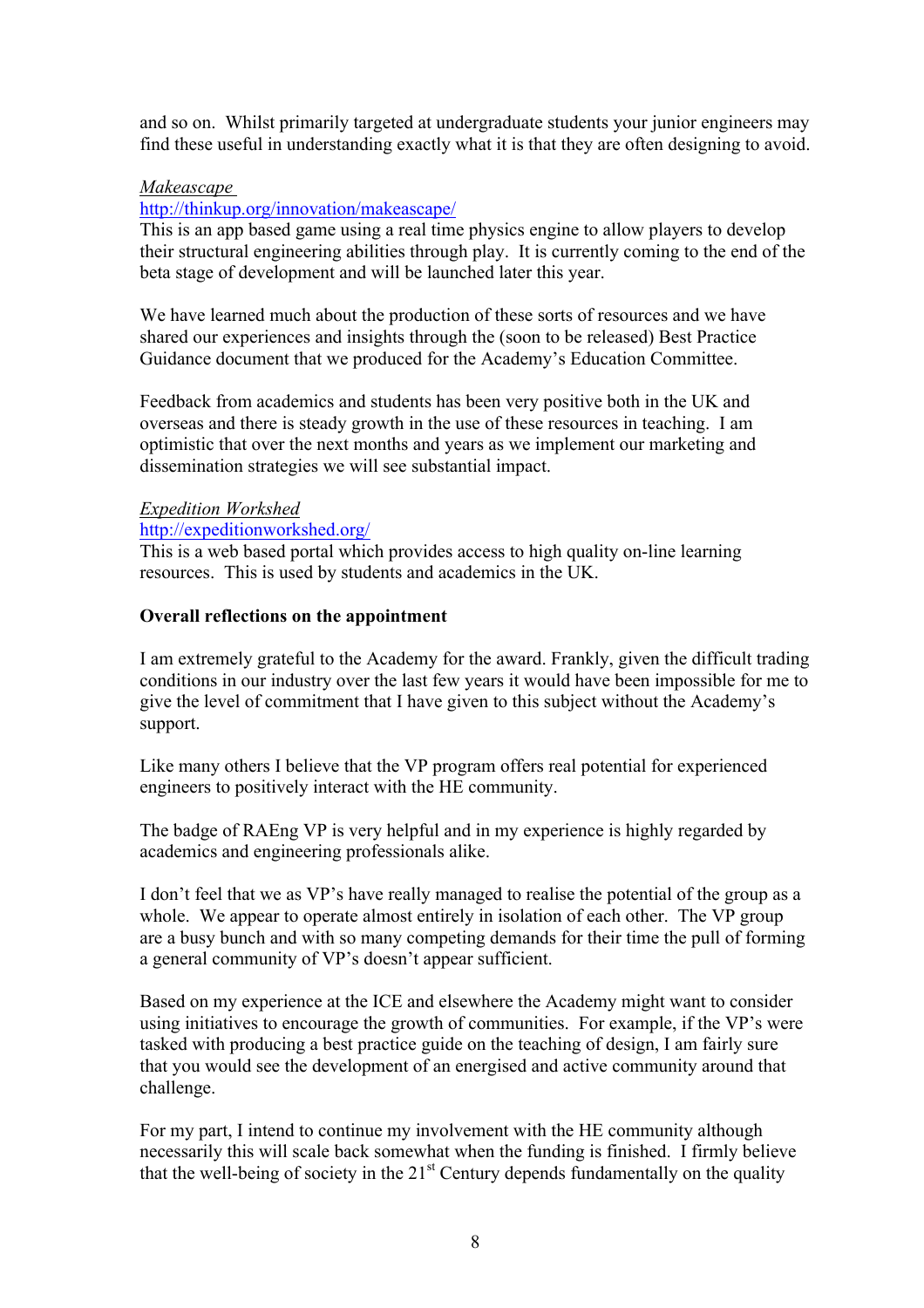and so on. Whilst primarily targeted at undergraduate students your junior engineers may find these useful in understanding exactly what it is that they are often designing to avoid.

### *Makeascape*

### http://thinkup.org/innovation/makeascape/

This is an app based game using a real time physics engine to allow players to develop their structural engineering abilities through play. It is currently coming to the end of the beta stage of development and will be launched later this year.

We have learned much about the production of these sorts of resources and we have shared our experiences and insights through the (soon to be released) Best Practice Guidance document that we produced for the Academy's Education Committee.

Feedback from academics and students has been very positive both in the UK and overseas and there is steady growth in the use of these resources in teaching. I am optimistic that over the next months and years as we implement our marketing and dissemination strategies we will see substantial impact.

#### *Expedition Workshed* http://expeditionworkshed.org/

This is a web based portal which provides access to high quality on-line learning resources. This is used by students and academics in the UK.

#### **Overall reflections on the appointment**

I am extremely grateful to the Academy for the award. Frankly, given the difficult trading conditions in our industry over the last few years it would have been impossible for me to give the level of commitment that I have given to this subject without the Academy's support.

Like many others I believe that the VP program offers real potential for experienced engineers to positively interact with the HE community.

The badge of RAEng VP is very helpful and in my experience is highly regarded by academics and engineering professionals alike.

I don't feel that we as VP's have really managed to realise the potential of the group as a whole. We appear to operate almost entirely in isolation of each other. The VP group are a busy bunch and with so many competing demands for their time the pull of forming a general community of VP's doesn't appear sufficient.

Based on my experience at the ICE and elsewhere the Academy might want to consider using initiatives to encourage the growth of communities. For example, if the VP's were tasked with producing a best practice guide on the teaching of design, I am fairly sure that you would see the development of an energised and active community around that challenge.

For my part, I intend to continue my involvement with the HE community although necessarily this will scale back somewhat when the funding is finished. I firmly believe that the well-being of society in the  $21<sup>st</sup>$  Century depends fundamentally on the quality